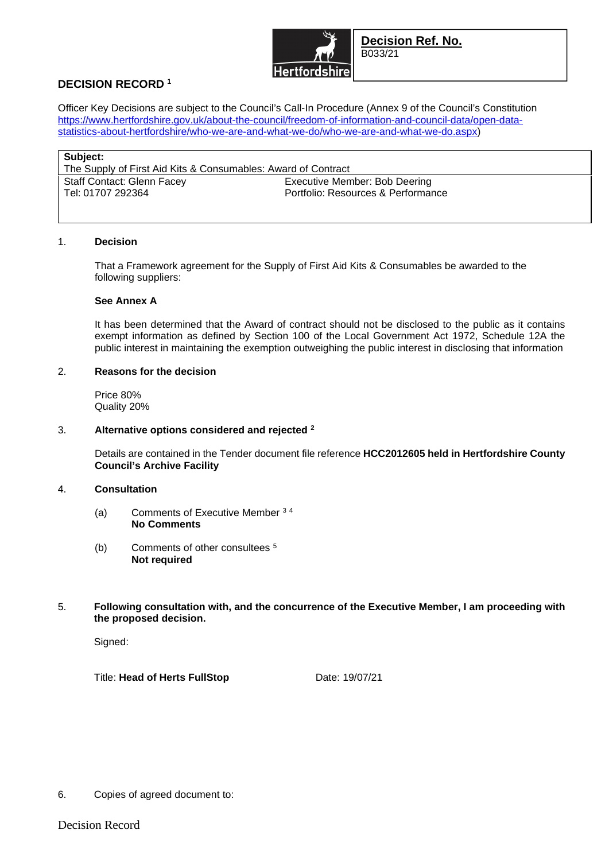

**Decision Ref. No.**  B033/21

# **DECISION RECORD <sup>1</sup>**

Officer Key Decisions are subject to the Council's Call-In Procedure (Annex 9 of the Council's Constitution https://www.hertfordshire.gov.uk/about-the-council/freedom-of-information-and-council-data/open-datastatistics-about-hertfordshire/who-we-are-and-what-we-do/who-we-are-and-what-we-do.aspx)

| Subject:                                                      |                                    |
|---------------------------------------------------------------|------------------------------------|
| The Supply of First Aid Kits & Consumables: Award of Contract |                                    |
| Staff Contact: Glenn Facey                                    | Executive Member: Bob Deering      |
| Tel: 01707 292364                                             | Portfolio: Resources & Performance |
|                                                               |                                    |

#### 1. **Decision**

That a Framework agreement for the Supply of First Aid Kits & Consumables be awarded to the following suppliers:

## **See Annex A**

It has been determined that the Award of contract should not be disclosed to the public as it contains exempt information as defined by Section 100 of the Local Government Act 1972, Schedule 12A the public interest in maintaining the exemption outweighing the public interest in disclosing that information

## 2. **Reasons for the decision**

Price 80% Quality 20%

#### 3. **Alternative options considered and rejected <sup>2</sup>**

Details are contained in the Tender document file reference **HCC2012605 held in Hertfordshire County Council's Archive Facility**

## 4. **Consultation**

- (a) Comments of Executive Member <sup>3</sup> <sup>4</sup> **No Comments**
- (b) Comments of other consultees <sup>5</sup> **Not required**
- 5. **Following consultation with, and the concurrence of the Executive Member, I am proceeding with the proposed decision.**

Signed:

Title: **Head of Herts FullStop** Date: 19/07/21

6. Copies of agreed document to: